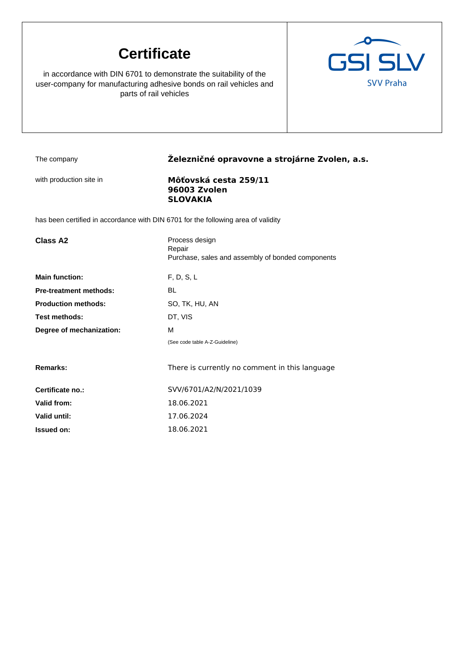# **Certificate**

in accordance with DIN 6701 to demonstrate the suitability of the user-company for manufacturing adhesive bonds on rail vehicles and parts of rail vehicles



## The company **Železničné opravovne a strojárne Zvolen, a.s.**

### with production site in **Môťovská cesta 259/11 96003 Zvolen SLOVAKIA**

has been certified in accordance with DIN 6701 for the following area of validity

| <b>Class A2</b>               | Process design<br>Repair<br>Purchase, sales and assembly of bonded components |
|-------------------------------|-------------------------------------------------------------------------------|
| <b>Main function:</b>         | F, D, S, L                                                                    |
| <b>Pre-treatment methods:</b> | BL                                                                            |
| <b>Production methods:</b>    | SO, TK, HU, AN                                                                |
| <b>Test methods:</b>          | DT, VIS                                                                       |
| Degree of mechanization:      | М                                                                             |
|                               | (See code table A-Z-Guideline)                                                |
| Remarks:                      | There is currently no comment in this language                                |
| Certificate no.:              | SVV/6701/A2/N/2021/1039                                                       |
| Valid from:                   | 18.06.2021                                                                    |
| Valid until:                  | 17.06.2024                                                                    |
| <b>Issued on:</b>             | 18.06.2021                                                                    |